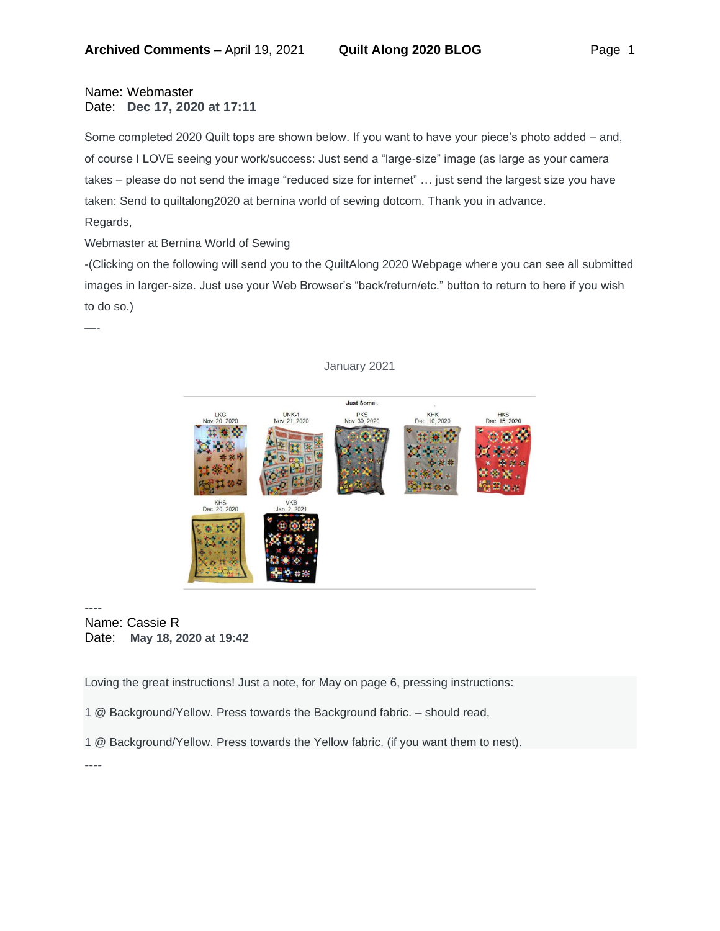## Name: Webmaster Date: **Dec 17, 2020 at 17:11**

Some completed 2020 Quilt tops are shown below. If you want to have your piece's photo added – and, of course I LOVE seeing your work/success: Just send a "large-size" image (as large as your camera takes – please do not send the image "reduced size for internet" … just send the largest size you have taken: Send to quiltalong2020 at bernina world of sewing dotcom. Thank you in advance. Regards,

Webmaster at Bernina World of Sewing

-(Clicking on the following will send you to the QuiltAlong 2020 Webpage where you can see all submitted images in larger-size. Just use your Web Browser's "back/return/etc." button to return to here if you wish to do so.)



## January 2021

---- Name: Cassie R Date: **May 18, 2020 at 19:42**

Loving the great instructions! Just a note, for May on page 6, pressing instructions:

1 @ Background/Yellow. Press towards the Background fabric. – should read,

1 @ Background/Yellow. Press towards the Yellow fabric. (if you want them to nest).

—-